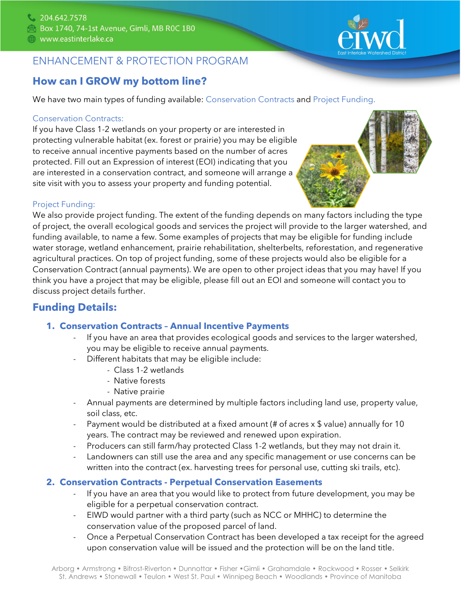

# **How can I GROW my bottom line?**

We have two main types of funding available: Conservation Contracts and Project Funding.

#### Conservation Contracts:

If you have Class 1-2 wetlands on your property or are interested in protecting vulnerable habitat (ex. forest or prairie) you may be eligible to receive annual incentive payments based on the number of acres protected. Fill out an Expression of interest (EOI) indicating that you are interested in a conservation contract, and someone will arrange a site visit with you to assess your property and funding potential.



#### Project Funding:

We also provide project funding. The extent of the funding depends on many factors including the type of project, the overall ecological goods and services the project will provide to the larger watershed, and funding available, to name a few. Some examples of projects that may be eligible for funding include water storage, wetland enhancement, prairie rehabilitation, shelterbelts, reforestation, and regenerative agricultural practices. On top of project funding, some of these projects would also be eligible for a Conservation Contract (annual payments). We are open to other project ideas that you may have! If you think you have a project that may be eligible, please fill out an EOI and someone will contact you to discuss project details further.

## **Funding Details:**

#### **1. Conservation Contracts – Annual Incentive Payments**

- If you have an area that provides ecological goods and services to the larger watershed, you may be eligible to receive annual payments.
	- Different habitats that may be eligible include:
		- Class 1-2 wetlands
		- Native forests
		- Native prairie
- Annual payments are determined by multiple factors including land use, property value, soil class, etc.
- Payment would be distributed at a fixed amount (# of acres  $x \, \$$  value) annually for 10 years. The contract may be reviewed and renewed upon expiration.
- Producers can still farm/hay protected Class 1-2 wetlands, but they may not drain it.
- Landowners can still use the area and any specific management or use concerns can be written into the contract (ex. harvesting trees for personal use, cutting ski trails, etc).

#### **2. Conservation Contracts - Perpetual Conservation Easements**

- If you have an area that you would like to protect from future development, you may be eligible for a perpetual conservation contract.
- EIWD would partner with a third party (such as NCC or MHHC) to determine the conservation value of the proposed parcel of land.
- Once a Perpetual Conservation Contract has been developed a tax receipt for the agreed upon conservation value will be issued and the protection will be on the land title.